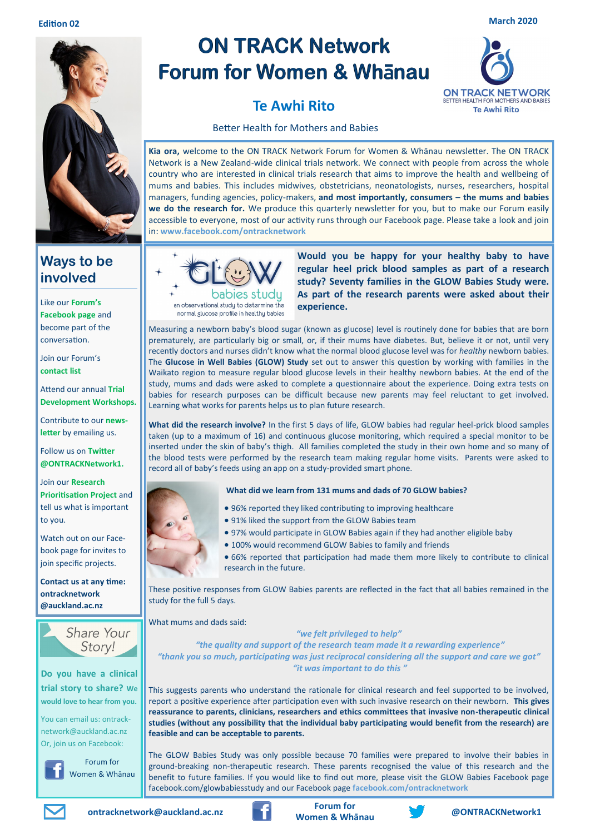

## **Ways to be involved**

Like our **Forum's Facebook page** and become part of the conversation.

Join our Forum's **contact list**

Attend our annual **Trial Development Workshops.**

Contribute to our **newsletter** by emailing us.

Follow us on **Twitter @ONTRACKNetwork1.**

Join our **Research Prioritisation Project** and tell us what is important to you.

Watch out on our Facebook page for invites to join specific projects.

**Contact us at any time: ontracknetwork @auckland.ac.nz**



**Do you have a clinical trial story to share? We would love to hear from you.** 

You can email us: ontracknetwork@auckland.ac.nz Or, join us on Facebook:

Forum for

Women & Whānau

# **ON TRACK Network Forum for Women & Whanau**



## **Te Awhi Rito**

Better Health for Mothers and Babies

**Kia ora,** welcome to the ON TRACK Network Forum for Women & Whānau newsletter. The ON TRACK Network is a New Zealand-wide clinical trials network. We connect with people from across the whole country who are interested in clinical trials research that aims to improve the health and wellbeing of mums and babies. This includes midwives, obstetricians, neonatologists, nurses, researchers, hospital managers, funding agencies, policy-makers, **and most importantly, consumers – the mums and babies we do the research for.** We produce this quarterly newsletter for you, but to make our Forum easily accessible to everyone, most of our activity runs through our Facebook page. Please take a look and join in: **www.facebook.com/ontracknetwork**



**Would you be happy for your healthy baby to have regular heel prick blood samples as part of a research study? Seventy families in the GLOW Babies Study were. As part of the research parents were asked about their experience.** 

Measuring a newborn baby's blood sugar (known as glucose) level is routinely done for babies that are born prematurely, are particularly big or small, or, if their mums have diabetes. But, believe it or not, until very recently doctors and nurses didn't know what the normal blood glucose level was for *healthy* newborn babies. The **Glucose in Well Babies (GLOW) Study** set out to answer this question by working with families in the Waikato region to measure regular blood glucose levels in their healthy newborn babies. At the end of the study, mums and dads were asked to complete a questionnaire about the experience. Doing extra tests on babies for research purposes can be difficult because new parents may feel reluctant to get involved. Learning what works for parents helps us to plan future research.

**What did the research involve?** In the first 5 days of life, GLOW babies had regular heel-prick blood samples taken (up to a maximum of 16) and continuous glucose monitoring, which required a special monitor to be inserted under the skin of baby's thigh. All families completed the study in their own home and so many of the blood tests were performed by the research team making regular home visits. Parents were asked to record all of baby's feeds using an app on a study-provided smart phone.

#### **What did we learn from 131 mums and dads of 70 GLOW babies?**

- 96% reported they liked contributing to improving healthcare
- 91% liked the support from the GLOW Babies team
- 97% would participate in GLOW Babies again if they had another eligible baby
- 100% would recommend GLOW Babies to family and friends
- 66% reported that participation had made them more likely to contribute to clinical research in the future.

These positive responses from GLOW Babies parents are reflected in the fact that all babies remained in the study for the full 5 days.

What mums and dads said:

*"we felt privileged to help"*

*"the quality and support of the research team made it a rewarding experience" "thank you so much, participating was just reciprocal considering all the support and care we got" "it was important to do this "*

This suggests parents who understand the rationale for clinical research and feel supported to be involved, report a positive experience after participation even with such invasive research on their newborn. **This gives reassurance to parents, clinicians, researchers and ethics committees that invasive non-therapeutic clinical studies (without any possibility that the individual baby participating would benefit from the research) are feasible and can be acceptable to parents.**

The GLOW Babies Study was only possible because 70 families were prepared to involve their babies in ground-breaking non-therapeutic research. These parents recognised the value of this research and the benefit to future families. If you would like to find out more, please visit the GLOW Babies Facebook page facebook.com/glowbabiesstudy and our Facebook page **facebook.com/ontracknetwork**





**Women & Whānau <b>CONTRACKNetwork1**